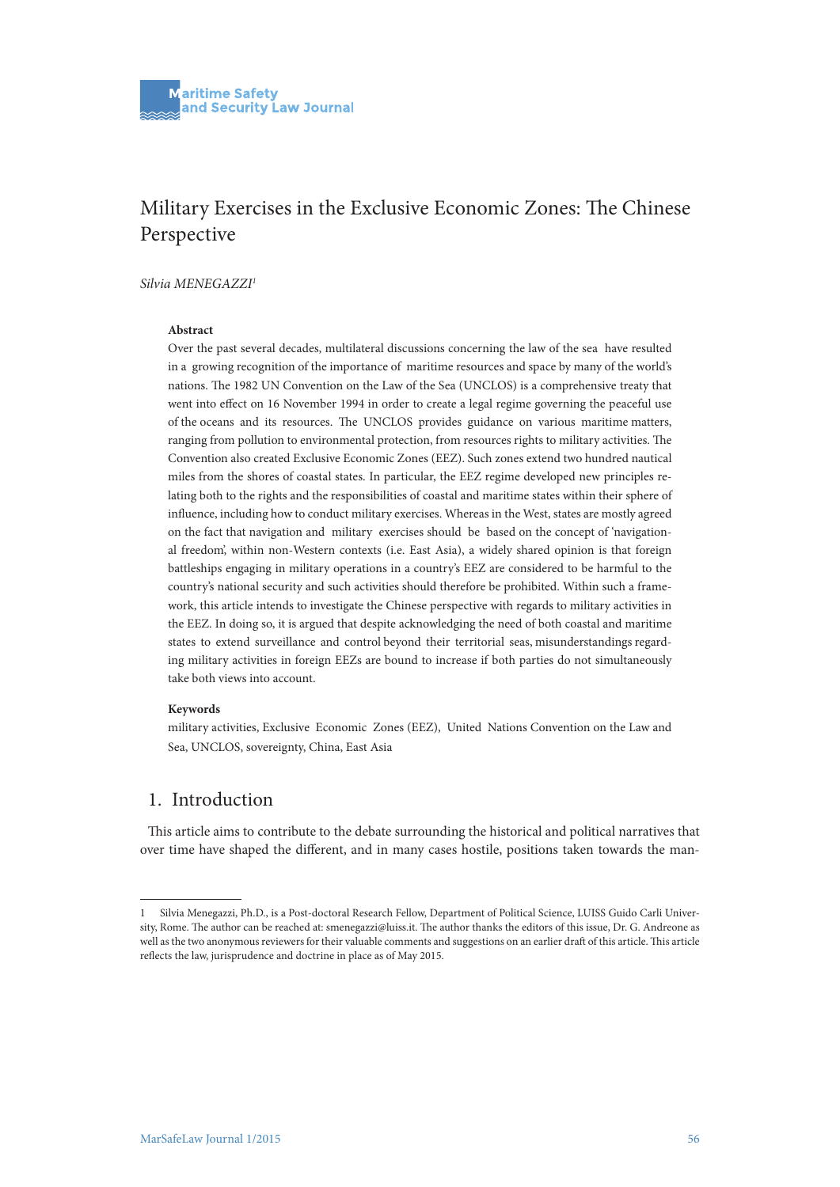## Military Exercises in the Exclusive Economic Zones: The Chinese Perspective

#### *Silvia MENEGAZZI1*

#### **Abstract**

Over the past several decades, multilateral discussions concerning the law of the sea have resulted in a growing recognition of the importance of maritime resources and space by many of the world's nations. The 1982 UN Convention on the Law of the Sea (UNCLOS) is a comprehensive treaty that went into effect on 16 November 1994 in order to create a legal regime governing the peaceful use of the oceans and its resources. The UNCLOS provides guidance on various maritime matters, ranging from pollution to environmental protection, from resources rights to military activities. The Convention also created Exclusive Economic Zones (EEZ). Such zones extend two hundred nautical miles from the shores of coastal states. In particular, the EEZ regime developed new principles relating both to the rights and the responsibilities of coastal and maritime states within their sphere of influence, including how to conduct military exercises. Whereas in the West, states are mostly agreed on the fact that navigation and military exercises should be based on the concept of 'navigational freedom', within non-Western contexts (i.e. East Asia), a widely shared opinion is that foreign battleships engaging in military operations in a country's EEZ are considered to be harmful to the country's national security and such activities should therefore be prohibited. Within such a framework, this article intends to investigate the Chinese perspective with regards to military activities in the EEZ. In doing so, it is argued that despite acknowledging the need of both coastal and maritime states to extend surveillance and control beyond their territorial seas, misunderstandings regarding military activities in foreign EEZs are bound to increase if both parties do not simultaneously take both views into account.

#### **Keywords**

military activities, Exclusive Economic Zones (EEZ), United Nations Convention on the Law and Sea, UNCLOS, sovereignty, China, East Asia

## 1. Introduction

This article aims to contribute to the debate surrounding the historical and political narratives that over time have shaped the different, and in many cases hostile, positions taken towards the man-

<sup>1</sup> Silvia Menegazzi, Ph.D., is a Post-doctoral Research Fellow, Department of Political Science, LUISS Guido Carli University, Rome. The author can be reached at: smenegazzi@luiss.it. The author thanks the editors of this issue, Dr. G. Andreone as well as the two anonymous reviewers for their valuable comments and suggestions on an earlier draft of this article. This article reflects the law, jurisprudence and doctrine in place as of May 2015.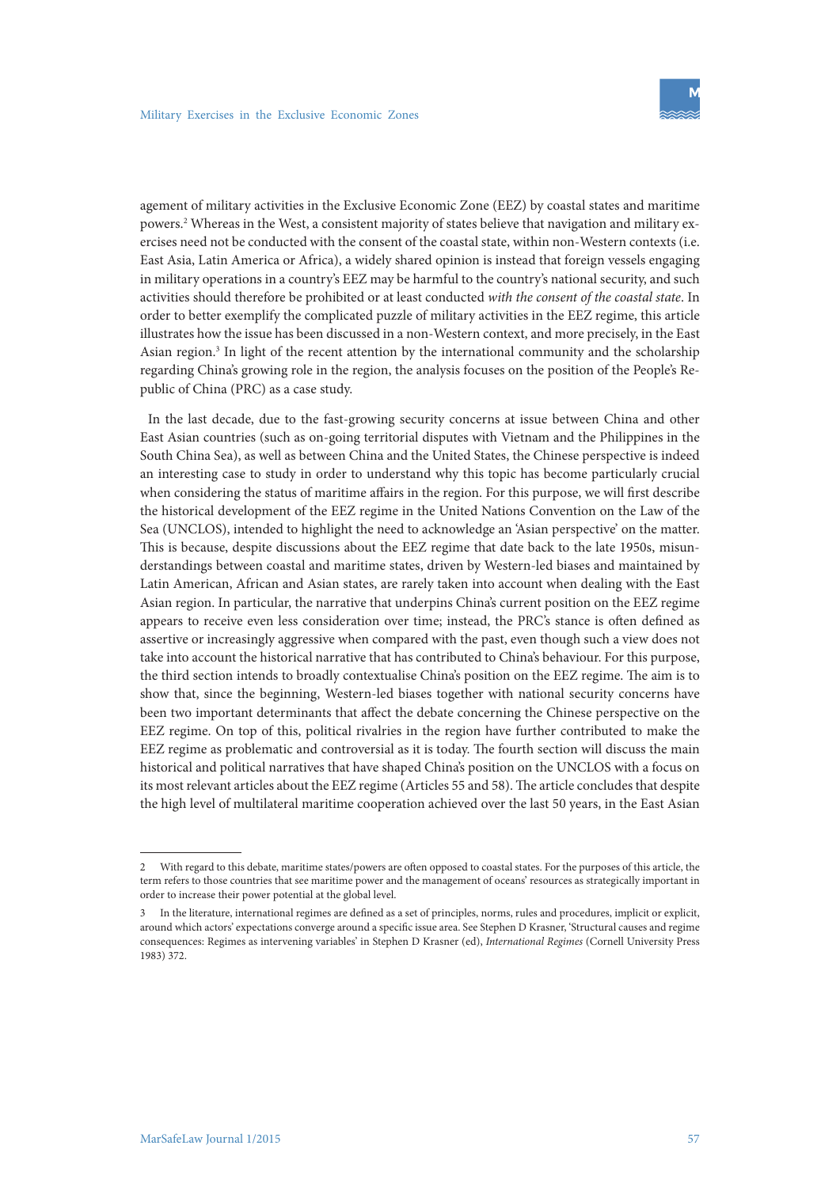agement of military activities in the Exclusive Economic Zone (EEZ) by coastal states and maritime powers.2 Whereas in the West, a consistent majority of states believe that navigation and military exercises need not be conducted with the consent of the coastal state, within non-Western contexts (i.e. East Asia, Latin America or Africa), a widely shared opinion is instead that foreign vessels engaging in military operations in a country's EEZ may be harmful to the country's national security, and such activities should therefore be prohibited or at least conducted *with the consent of the coastal state*. In order to better exemplify the complicated puzzle of military activities in the EEZ regime, this article illustrates how the issue has been discussed in a non-Western context, and more precisely, in the East Asian region.<sup>3</sup> In light of the recent attention by the international community and the scholarship regarding China's growing role in the region, the analysis focuses on the position of the People's Republic of China (PRC) as a case study.

In the last decade, due to the fast-growing security concerns at issue between China and other East Asian countries (such as on-going territorial disputes with Vietnam and the Philippines in the South China Sea), as well as between China and the United States, the Chinese perspective is indeed an interesting case to study in order to understand why this topic has become particularly crucial when considering the status of maritime affairs in the region. For this purpose, we will first describe the historical development of the EEZ regime in the United Nations Convention on the Law of the Sea (UNCLOS), intended to highlight the need to acknowledge an 'Asian perspective' on the matter. This is because, despite discussions about the EEZ regime that date back to the late 1950s, misunderstandings between coastal and maritime states, driven by Western-led biases and maintained by Latin American, African and Asian states, are rarely taken into account when dealing with the East Asian region. In particular, the narrative that underpins China's current position on the EEZ regime appears to receive even less consideration over time; instead, the PRC's stance is often defined as assertive or increasingly aggressive when compared with the past, even though such a view does not take into account the historical narrative that has contributed to China's behaviour. For this purpose, the third section intends to broadly contextualise China's position on the EEZ regime. The aim is to show that, since the beginning, Western-led biases together with national security concerns have been two important determinants that affect the debate concerning the Chinese perspective on the EEZ regime. On top of this, political rivalries in the region have further contributed to make the EEZ regime as problematic and controversial as it is today. The fourth section will discuss the main historical and political narratives that have shaped China's position on the UNCLOS with a focus on its most relevant articles about the EEZ regime (Articles 55 and 58). The article concludes that despite the high level of multilateral maritime cooperation achieved over the last 50 years, in the East Asian

<sup>2</sup> With regard to this debate, maritime states/powers are often opposed to coastal states. For the purposes of this article, the term refers to those countries that see maritime power and the management of oceans' resources as strategically important in order to increase their power potential at the global level.

<sup>3</sup> In the literature, international regimes are defined as a set of principles, norms, rules and procedures, implicit or explicit, around which actors' expectations converge around a specific issue area. See Stephen D Krasner, 'Structural causes and regime consequences: Regimes as intervening variables' in Stephen D Krasner (ed), *International Regimes* (Cornell University Press 1983) 372.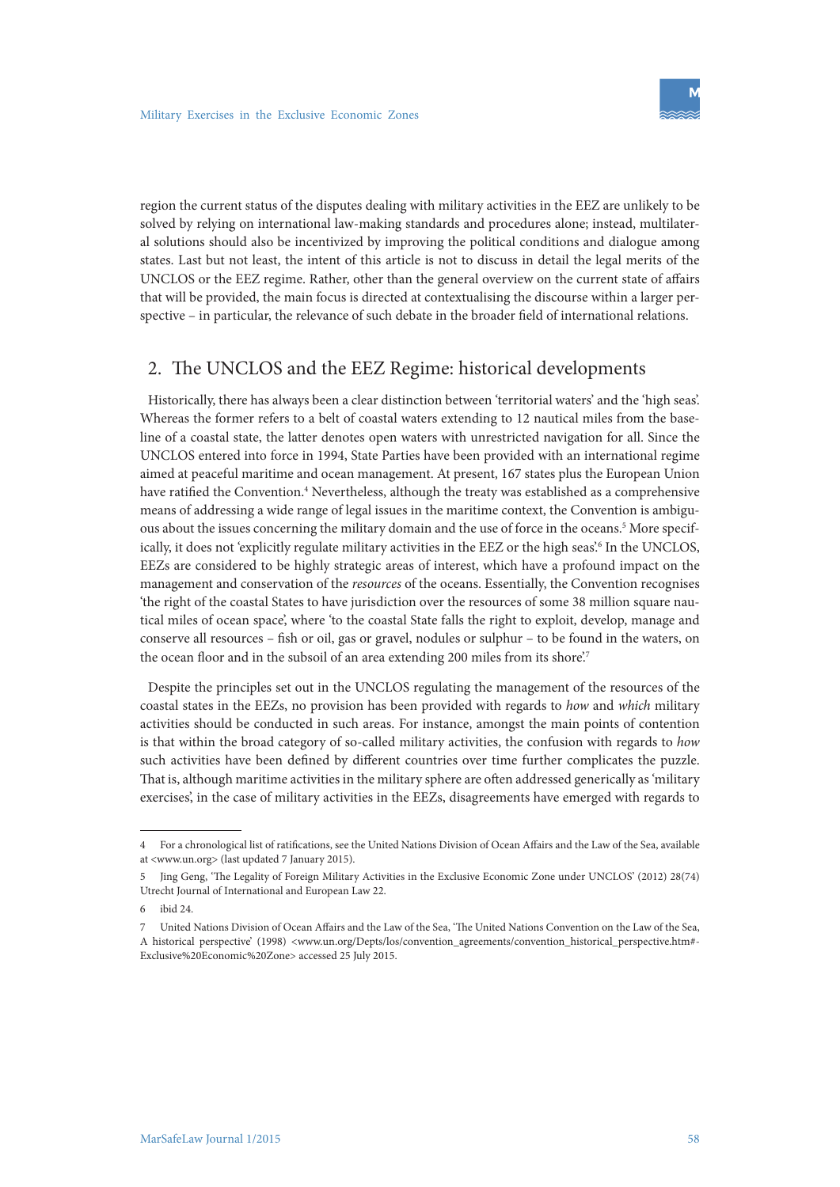region the current status of the disputes dealing with military activities in the EEZ are unlikely to be solved by relying on international law-making standards and procedures alone; instead, multilateral solutions should also be incentivized by improving the political conditions and dialogue among states. Last but not least, the intent of this article is not to discuss in detail the legal merits of the UNCLOS or the EEZ regime. Rather, other than the general overview on the current state of affairs that will be provided, the main focus is directed at contextualising the discourse within a larger perspective – in particular, the relevance of such debate in the broader field of international relations.

### 2. The UNCLOS and the EEZ Regime: historical developments

Historically, there has always been a clear distinction between 'territorial waters' and the 'high seas'. Whereas the former refers to a belt of coastal waters extending to 12 nautical miles from the baseline of a coastal state, the latter denotes open waters with unrestricted navigation for all. Since the UNCLOS entered into force in 1994, State Parties have been provided with an international regime aimed at peaceful maritime and ocean management. At present, 167 states plus the European Union have ratified the Convention.<sup>4</sup> Nevertheless, although the treaty was established as a comprehensive means of addressing a wide range of legal issues in the maritime context, the Convention is ambiguous about the issues concerning the military domain and the use of force in the oceans.<sup>5</sup> More specifically, it does not 'explicitly regulate military activities in the EEZ or the high seas'.<sup>6</sup> In the UNCLOS, EEZs are considered to be highly strategic areas of interest, which have a profound impact on the management and conservation of the *resources* of the oceans. Essentially, the Convention recognises 'the right of the coastal States to have jurisdiction over the resources of some 38 million square nautical miles of ocean space', where 'to the coastal State falls the right to exploit, develop, manage and conserve all resources – fish or oil, gas or gravel, nodules or sulphur – to be found in the waters, on the ocean floor and in the subsoil of an area extending 200 miles from its shore.<sup>7</sup>

Despite the principles set out in the UNCLOS regulating the management of the resources of the coastal states in the EEZs, no provision has been provided with regards to *how* and *which* military activities should be conducted in such areas. For instance, amongst the main points of contention is that within the broad category of so-called military activities, the confusion with regards to *how* such activities have been defined by different countries over time further complicates the puzzle. That is, although maritime activities in the military sphere are often addressed generically as 'military exercises', in the case of military activities in the EEZs, disagreements have emerged with regards to

<sup>4</sup> For a chronological list of ratifications, see the United Nations Division of Ocean Affairs and the Law of the Sea, available at <www.un.org> (last updated 7 January 2015).

<sup>5</sup> Jing Geng, 'The Legality of Foreign Military Activities in the Exclusive Economic Zone under UNCLOS' (2012) 28(74) Utrecht Journal of International and European Law 22.

ibid 24

<sup>7</sup> United Nations Division of Ocean Affairs and the Law of the Sea, 'The United Nations Convention on the Law of the Sea, A historical perspective' (1998) <www.un.org/Depts/los/convention\_agreements/convention\_historical\_perspective.htm#- Exclusive%20Economic%20Zone> accessed 25 July 2015.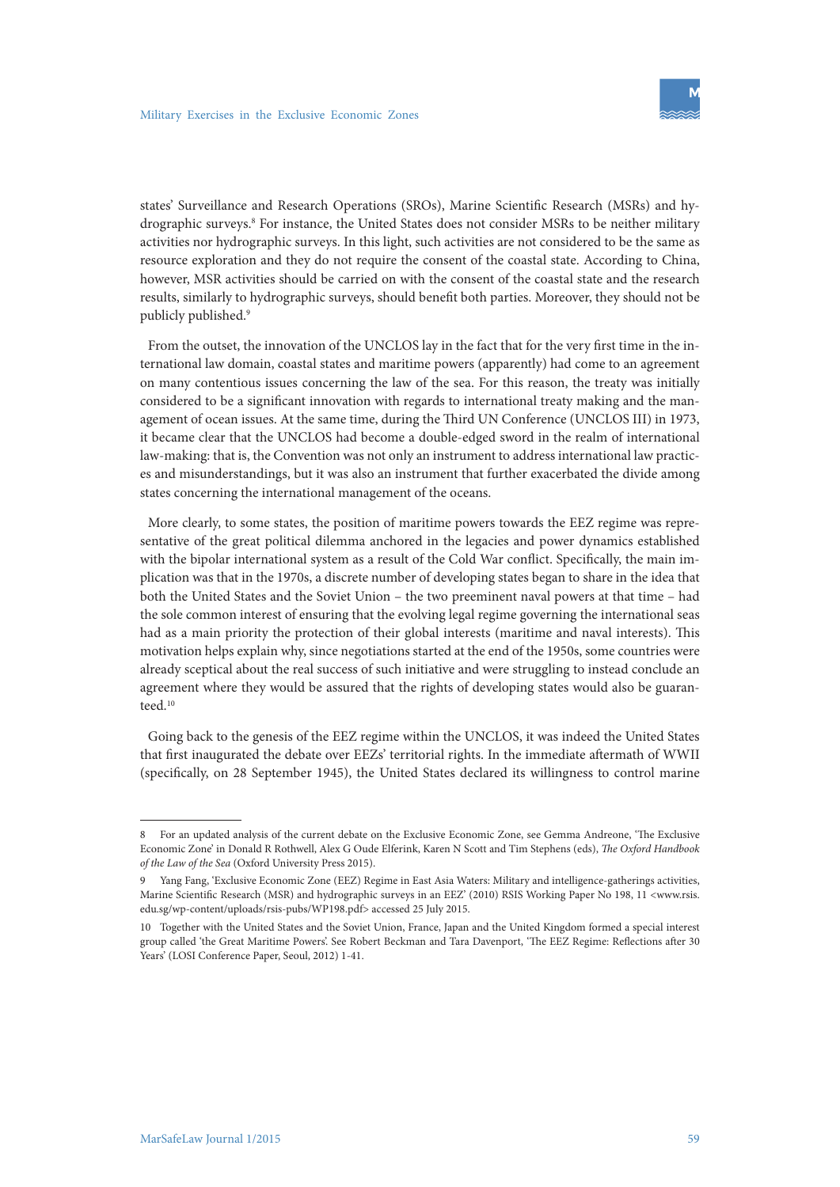states' Surveillance and Research Operations (SROs), Marine Scientific Research (MSRs) and hydrographic surveys.<sup>8</sup> For instance, the United States does not consider MSRs to be neither military activities nor hydrographic surveys. In this light, such activities are not considered to be the same as resource exploration and they do not require the consent of the coastal state. According to China, however, MSR activities should be carried on with the consent of the coastal state and the research results, similarly to hydrographic surveys, should benefit both parties. Moreover, they should not be publicly published.9

From the outset, the innovation of the UNCLOS lay in the fact that for the very first time in the international law domain, coastal states and maritime powers (apparently) had come to an agreement on many contentious issues concerning the law of the sea. For this reason, the treaty was initially considered to be a significant innovation with regards to international treaty making and the management of ocean issues. At the same time, during the Third UN Conference (UNCLOS III) in 1973, it became clear that the UNCLOS had become a double-edged sword in the realm of international law-making: that is, the Convention was not only an instrument to address international law practices and misunderstandings, but it was also an instrument that further exacerbated the divide among states concerning the international management of the oceans.

More clearly, to some states, the position of maritime powers towards the EEZ regime was representative of the great political dilemma anchored in the legacies and power dynamics established with the bipolar international system as a result of the Cold War conflict. Specifically, the main implication was that in the 1970s, a discrete number of developing states began to share in the idea that both the United States and the Soviet Union – the two preeminent naval powers at that time – had the sole common interest of ensuring that the evolving legal regime governing the international seas had as a main priority the protection of their global interests (maritime and naval interests). This motivation helps explain why, since negotiations started at the end of the 1950s, some countries were already sceptical about the real success of such initiative and were struggling to instead conclude an agreement where they would be assured that the rights of developing states would also be guaranteed.<sup>10</sup>

Going back to the genesis of the EEZ regime within the UNCLOS, it was indeed the United States that first inaugurated the debate over EEZs' territorial rights. In the immediate aftermath of WWII (specifically, on 28 September 1945), the United States declared its willingness to control marine

<sup>8</sup> For an updated analysis of the current debate on the Exclusive Economic Zone, see Gemma Andreone, 'The Exclusive Economic Zone' in Donald R Rothwell, Alex G Oude Elferink, Karen N Scott and Tim Stephens (eds), *The Oxford Handbook of the Law of the Sea* (Oxford University Press 2015).

<sup>9</sup> Yang Fang, 'Exclusive Economic Zone (EEZ) Regime in East Asia Waters: Military and intelligence-gatherings activities, Marine Scientific Research (MSR) and hydrographic surveys in an EEZ' (2010) RSIS Working Paper No 198, 11 <www.rsis. edu.sg/wp-content/uploads/rsis-pubs/WP198.pdf> accessed 25 July 2015.

<sup>10</sup> Together with the United States and the Soviet Union, France, Japan and the United Kingdom formed a special interest group called 'the Great Maritime Powers'. See Robert Beckman and Tara Davenport, 'The EEZ Regime: Reflections after 30 Years' (LOSI Conference Paper, Seoul, 2012) 1-41.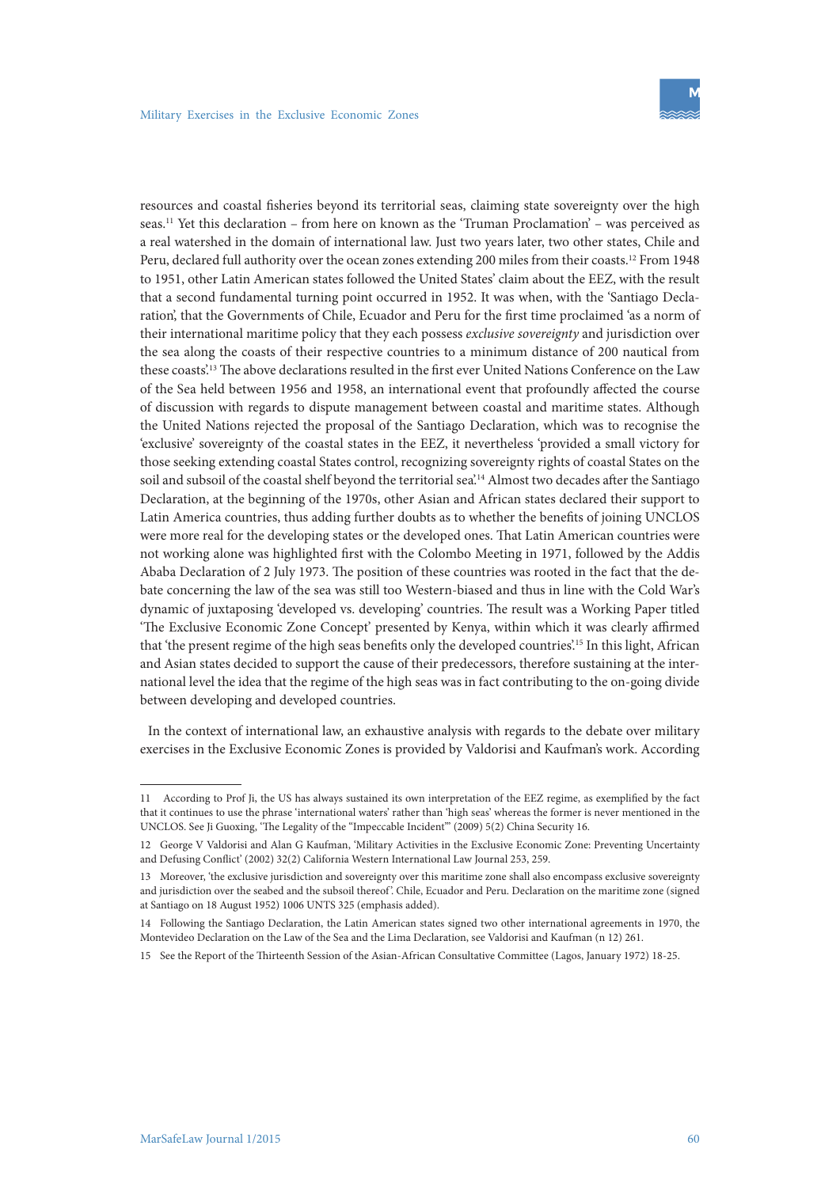resources and coastal fisheries beyond its territorial seas, claiming state sovereignty over the high seas.11 Yet this declaration – from here on known as the 'Truman Proclamation' – was perceived as a real watershed in the domain of international law. Just two years later, two other states, Chile and Peru, declared full authority over the ocean zones extending 200 miles from their coasts.12 From 1948 to 1951, other Latin American states followed the United States' claim about the EEZ, with the result that a second fundamental turning point occurred in 1952. It was when, with the 'Santiago Declaration', that the Governments of Chile, Ecuador and Peru for the first time proclaimed 'as a norm of their international maritime policy that they each possess *exclusive sovereignty* and jurisdiction over the sea along the coasts of their respective countries to a minimum distance of 200 nautical from these coasts'.13 The above declarations resulted in the first ever United Nations Conference on the Law of the Sea held between 1956 and 1958, an international event that profoundly affected the course of discussion with regards to dispute management between coastal and maritime states. Although the United Nations rejected the proposal of the Santiago Declaration, which was to recognise the 'exclusive' sovereignty of the coastal states in the EEZ, it nevertheless 'provided a small victory for those seeking extending coastal States control, recognizing sovereignty rights of coastal States on the soil and subsoil of the coastal shelf beyond the territorial sea'.<sup>14</sup> Almost two decades after the Santiago Declaration, at the beginning of the 1970s, other Asian and African states declared their support to Latin America countries, thus adding further doubts as to whether the benefits of joining UNCLOS were more real for the developing states or the developed ones. That Latin American countries were not working alone was highlighted first with the Colombo Meeting in 1971, followed by the Addis Ababa Declaration of 2 July 1973. The position of these countries was rooted in the fact that the debate concerning the law of the sea was still too Western-biased and thus in line with the Cold War's dynamic of juxtaposing 'developed vs. developing' countries. The result was a Working Paper titled 'The Exclusive Economic Zone Concept' presented by Kenya, within which it was clearly affirmed that 'the present regime of the high seas benefits only the developed countries'.15 In this light, African and Asian states decided to support the cause of their predecessors, therefore sustaining at the international level the idea that the regime of the high seas was in fact contributing to the on-going divide between developing and developed countries.

In the context of international law, an exhaustive analysis with regards to the debate over military exercises in the Exclusive Economic Zones is provided by Valdorisi and Kaufman's work. According

<sup>11</sup> According to Prof Ji, the US has always sustained its own interpretation of the EEZ regime, as exemplified by the fact that it continues to use the phrase 'international waters' rather than 'high seas' whereas the former is never mentioned in the UNCLOS. See Ji Guoxing, 'The Legality of the "Impeccable Incident"' (2009) 5(2) China Security 16.

<sup>12</sup> George V Valdorisi and Alan G Kaufman, 'Military Activities in the Exclusive Economic Zone: Preventing Uncertainty and Defusing Conflict' (2002) 32(2) California Western International Law Journal 253, 259.

<sup>13</sup> Moreover, 'the exclusive jurisdiction and sovereignty over this maritime zone shall also encompass exclusive sovereignty and jurisdiction over the seabed and the subsoil thereof'. Chile, Ecuador and Peru. Declaration on the maritime zone (signed at Santiago on 18 August 1952) 1006 UNTS 325 (emphasis added).

<sup>14</sup> Following the Santiago Declaration, the Latin American states signed two other international agreements in 1970, the Montevideo Declaration on the Law of the Sea and the Lima Declaration, see Valdorisi and Kaufman (n 12) 261.

<sup>15</sup> See the Report of the Thirteenth Session of the Asian-African Consultative Committee (Lagos, January 1972) 18-25.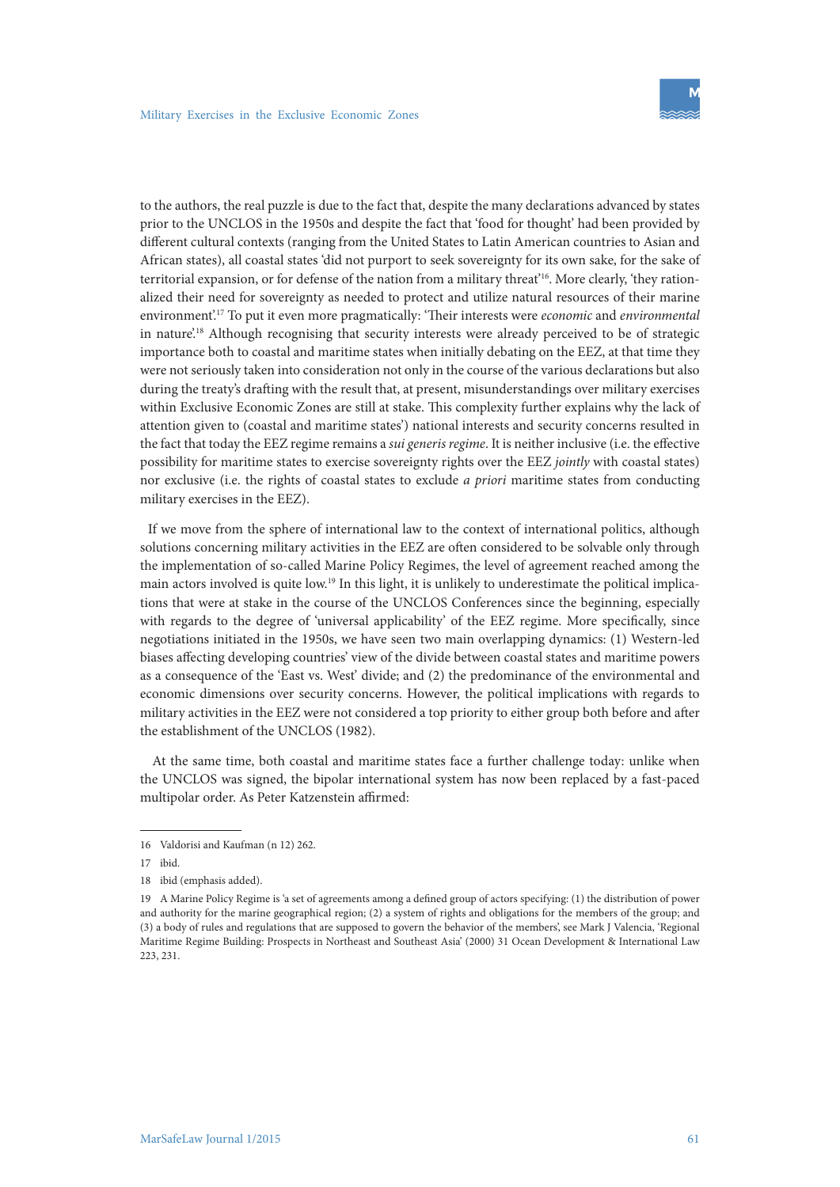to the authors, the real puzzle is due to the fact that, despite the many declarations advanced by states prior to the UNCLOS in the 1950s and despite the fact that 'food for thought' had been provided by different cultural contexts (ranging from the United States to Latin American countries to Asian and African states), all coastal states 'did not purport to seek sovereignty for its own sake, for the sake of territorial expansion, or for defense of the nation from a military threat'16. More clearly, 'they rationalized their need for sovereignty as needed to protect and utilize natural resources of their marine environment'.17 To put it even more pragmatically: 'Their interests were *economic* and *environmental* in nature.<sup>18</sup> Although recognising that security interests were already perceived to be of strategic importance both to coastal and maritime states when initially debating on the EEZ, at that time they were not seriously taken into consideration not only in the course of the various declarations but also during the treaty's drafting with the result that, at present, misunderstandings over military exercises within Exclusive Economic Zones are still at stake. This complexity further explains why the lack of attention given to (coastal and maritime states') national interests and security concerns resulted in the fact that today the EEZ regime remains a *sui generis regime*. It is neither inclusive (i.e. the effective possibility for maritime states to exercise sovereignty rights over the EEZ *jointly* with coastal states) nor exclusive (i.e. the rights of coastal states to exclude *a priori* maritime states from conducting military exercises in the EEZ).

If we move from the sphere of international law to the context of international politics, although solutions concerning military activities in the EEZ are often considered to be solvable only through the implementation of so-called Marine Policy Regimes, the level of agreement reached among the main actors involved is quite low.19 In this light, it is unlikely to underestimate the political implications that were at stake in the course of the UNCLOS Conferences since the beginning, especially with regards to the degree of 'universal applicability' of the EEZ regime. More specifically, since negotiations initiated in the 1950s, we have seen two main overlapping dynamics: (1) Western-led biases affecting developing countries' view of the divide between coastal states and maritime powers as a consequence of the 'East vs. West' divide; and (2) the predominance of the environmental and economic dimensions over security concerns. However, the political implications with regards to military activities in the EEZ were not considered a top priority to either group both before and after the establishment of the UNCLOS (1982).

 At the same time, both coastal and maritime states face a further challenge today: unlike when the UNCLOS was signed, the bipolar international system has now been replaced by a fast-paced multipolar order. As Peter Katzenstein affirmed:

<sup>16</sup> Valdorisi and Kaufman (n 12) 262.

<sup>17</sup> ibid.

<sup>18</sup> ibid (emphasis added).

<sup>19</sup> A Marine Policy Regime is 'a set of agreements among a defined group of actors specifying: (1) the distribution of power and authority for the marine geographical region; (2) a system of rights and obligations for the members of the group; and (3) a body of rules and regulations that are supposed to govern the behavior of the members', see Mark J Valencia, 'Regional Maritime Regime Building: Prospects in Northeast and Southeast Asia' (2000) 31 Ocean Development & International Law 223, 231.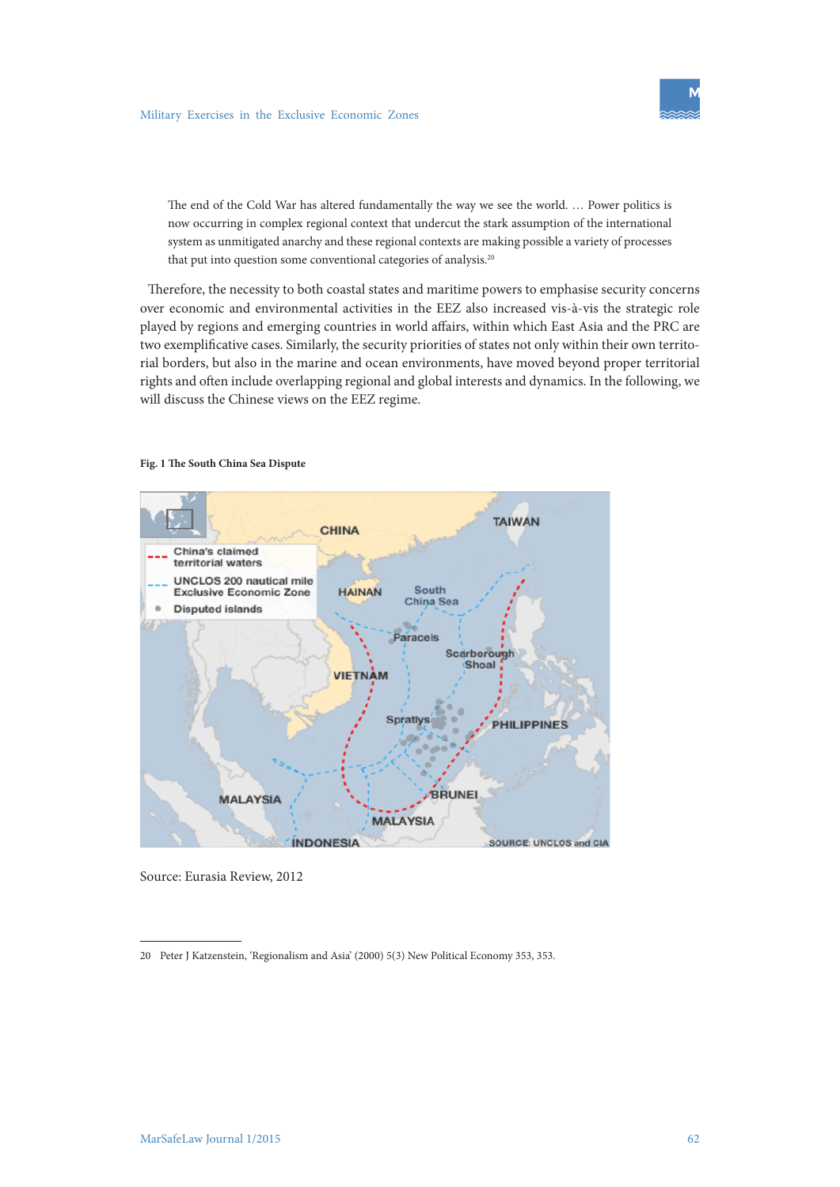The end of the Cold War has altered fundamentally the way we see the world. … Power politics is now occurring in complex regional context that undercut the stark assumption of the international system as unmitigated anarchy and these regional contexts are making possible a variety of processes that put into question some conventional categories of analysis.<sup>20</sup>

Therefore, the necessity to both coastal states and maritime powers to emphasise security concerns over economic and environmental activities in the EEZ also increased vis-à-vis the strategic role played by regions and emerging countries in world affairs, within which East Asia and the PRC are two exemplificative cases. Similarly, the security priorities of states not only within their own territorial borders, but also in the marine and ocean environments, have moved beyond proper territorial rights and often include overlapping regional and global interests and dynamics. In the following, we will discuss the Chinese views on the EEZ regime.



#### **Fig. 1 The South China Sea Dispute**

Source: Eurasia Review, 2012

20 Peter J Katzenstein, 'Regionalism and Asia' (2000) 5(3) New Political Economy 353, 353.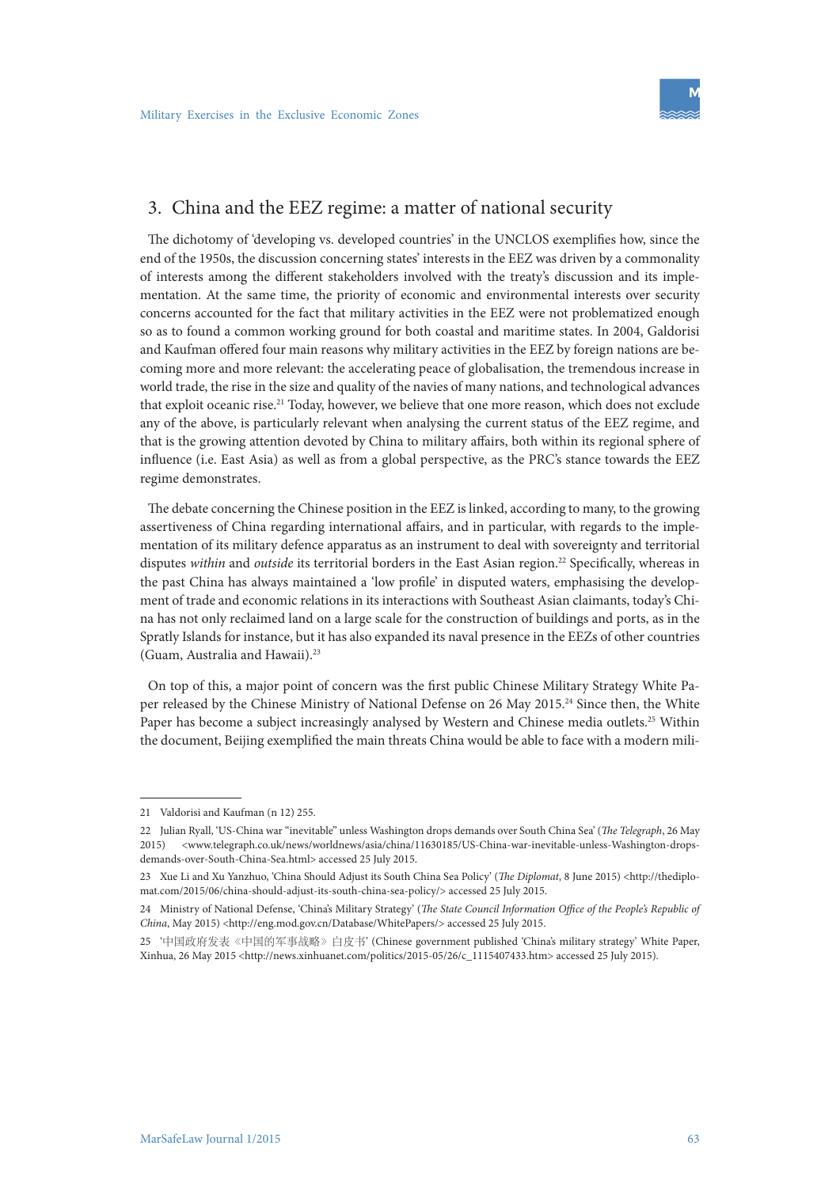

## 3. China and the EEZ regime: a matter of national security

The dichotomy of 'developing vs. developed countries' in the UNCLOS exemplifies how, since the end of the 1950s, the discussion concerning states' interests in the EEZ was driven by a commonality of interests among the different stakeholders involved with the treaty's discussion and its implementation. At the same time, the priority of economic and environmental interests over security concerns accounted for the fact that military activities in the EEZ were not problematized enough so as to found a common working ground for both coastal and maritime states. In 2004, Galdorisi and Kaufman offered four main reasons why military activities in the EEZ by foreign nations are becoming more and more relevant: the accelerating peace of globalisation, the tremendous increase in world trade, the rise in the size and quality of the navies of many nations, and technological advances that exploit oceanic rise.21 Today, however, we believe that one more reason, which does not exclude any of the above, is particularly relevant when analysing the current status of the EEZ regime, and that is the growing attention devoted by China to military affairs, both within its regional sphere of influence (i.e. East Asia) as well as from a global perspective, as the PRC's stance towards the EEZ regime demonstrates.

The debate concerning the Chinese position in the EEZ is linked, according to many, to the growing assertiveness of China regarding international affairs, and in particular, with regards to the implementation of its military defence apparatus as an instrument to deal with sovereignty and territorial disputes *within* and *outside* its territorial borders in the East Asian region.22 Specifically, whereas in the past China has always maintained a 'low profile' in disputed waters, emphasising the development of trade and economic relations in its interactions with Southeast Asian claimants, today's China has not only reclaimed land on a large scale for the construction of buildings and ports, as in the Spratly Islands for instance, but it has also expanded its naval presence in the EEZs of other countries (Guam, Australia and Hawaii).23

On top of this, a major point of concern was the first public Chinese Military Strategy White Paper released by the Chinese Ministry of National Defense on 26 May 2015.<sup>24</sup> Since then, the White Paper has become a subject increasingly analysed by Western and Chinese media outlets.<sup>25</sup> Within the document, Beijing exemplified the main threats China would be able to face with a modern mili-

<sup>21</sup> Valdorisi and Kaufman (n 12) 255.

<sup>22</sup> Julian Ryall, 'US-China war "inevitable" unless Washington drops demands over South China Sea' (*The Telegraph*, 26 May 2015) <www.telegraph.co.uk/news/worldnews/asia/china/11630185/US-China-war-inevitable-unless-Washington-dropsdemands-over-South-China-Sea.html> accessed 25 July 2015.

<sup>23</sup> Xue Li and Xu Yanzhuo, 'China Should Adjust its South China Sea Policy' (*The Diplomat*, 8 June 2015) <http://thediplomat.com/2015/06/china-should-adjust-its-south-china-sea-policy/> accessed 25 July 2015.

<sup>24</sup> Ministry of National Defense, 'China's Military Strategy' (*The State Council Information Office of the People's Republic of China*, May 2015) <http://eng.mod.gov.cn/Database/WhitePapers/> accessed 25 July 2015.

<sup>25</sup> '中国政府发表《中国的军事战略》白皮书' (Chinese government published 'China's military strategy' White Paper, Xinhua, 26 May 2015 <http://news.xinhuanet.com/politics/2015-05/26/c\_1115407433.htm> accessed 25 July 2015).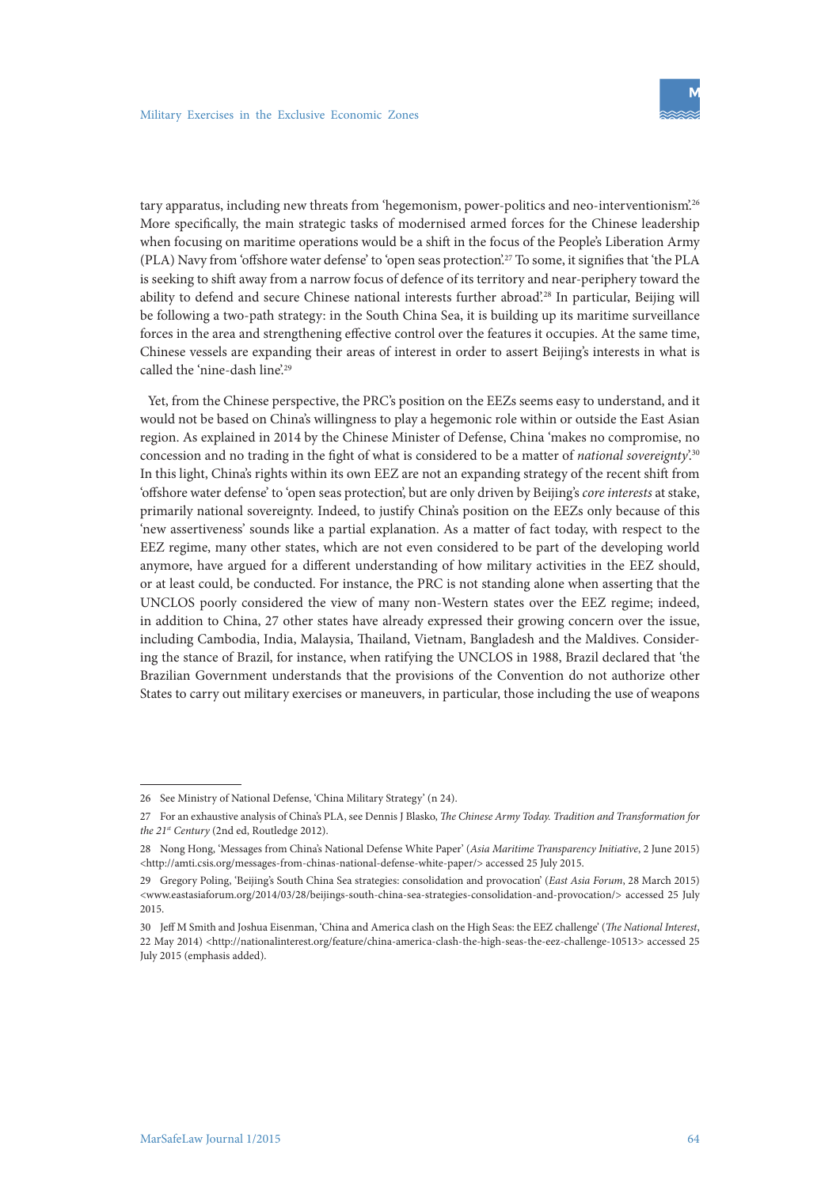tary apparatus, including new threats from 'hegemonism, power-politics and neo-interventionism'.26 More specifically, the main strategic tasks of modernised armed forces for the Chinese leadership when focusing on maritime operations would be a shift in the focus of the People's Liberation Army (PLA) Navy from 'offshore water defense' to 'open seas protection'.27 To some, it signifies that 'the PLA is seeking to shift away from a narrow focus of defence of its territory and near-periphery toward the ability to defend and secure Chinese national interests further abroad?<sup>28</sup> In particular, Beijing will be following a two-path strategy: in the South China Sea, it is building up its maritime surveillance forces in the area and strengthening effective control over the features it occupies. At the same time, Chinese vessels are expanding their areas of interest in order to assert Beijing's interests in what is called the 'nine-dash line'.<sup>29</sup>

Yet, from the Chinese perspective, the PRC's position on the EEZs seems easy to understand, and it would not be based on China's willingness to play a hegemonic role within or outside the East Asian region. As explained in 2014 by the Chinese Minister of Defense, China 'makes no compromise, no concession and no trading in the fight of what is considered to be a matter of *national sovereignty*'.30 In this light, China's rights within its own EEZ are not an expanding strategy of the recent shift from 'offshore water defense' to 'open seas protection', but are only driven by Beijing's *core interests* at stake, primarily national sovereignty. Indeed, to justify China's position on the EEZs only because of this 'new assertiveness' sounds like a partial explanation. As a matter of fact today, with respect to the EEZ regime, many other states, which are not even considered to be part of the developing world anymore, have argued for a different understanding of how military activities in the EEZ should, or at least could, be conducted. For instance, the PRC is not standing alone when asserting that the UNCLOS poorly considered the view of many non-Western states over the EEZ regime; indeed, in addition to China, 27 other states have already expressed their growing concern over the issue, including Cambodia, India, Malaysia, Thailand, Vietnam, Bangladesh and the Maldives. Considering the stance of Brazil, for instance, when ratifying the UNCLOS in 1988, Brazil declared that 'the Brazilian Government understands that the provisions of the Convention do not authorize other States to carry out military exercises or maneuvers, in particular, those including the use of weapons

<sup>26</sup> See Ministry of National Defense, 'China Military Strategy' (n 24).

<sup>27</sup> For an exhaustive analysis of China's PLA, see Dennis J Blasko, *The Chinese Army Today. Tradition and Transformation for the 21st Century* (2nd ed, Routledge 2012).

<sup>28</sup> Nong Hong, 'Messages from China's National Defense White Paper' (*Asia Maritime Transparency Initiative*, 2 June 2015) <http://amti.csis.org/messages-from-chinas-national-defense-white-paper/> accessed 25 July 2015.

<sup>29</sup> Gregory Poling, 'Beijing's South China Sea strategies: consolidation and provocation' (*East Asia Forum*, 28 March 2015) <www.eastasiaforum.org/2014/03/28/beijings-south-china-sea-strategies-consolidation-and-provocation/> accessed 25 July 2015.

<sup>30</sup> Jeff M Smith and Joshua Eisenman, 'China and America clash on the High Seas: the EEZ challenge' (*The National Interest*, 22 May 2014) <http://nationalinterest.org/feature/china-america-clash-the-high-seas-the-eez-challenge-10513> accessed 25 July 2015 (emphasis added).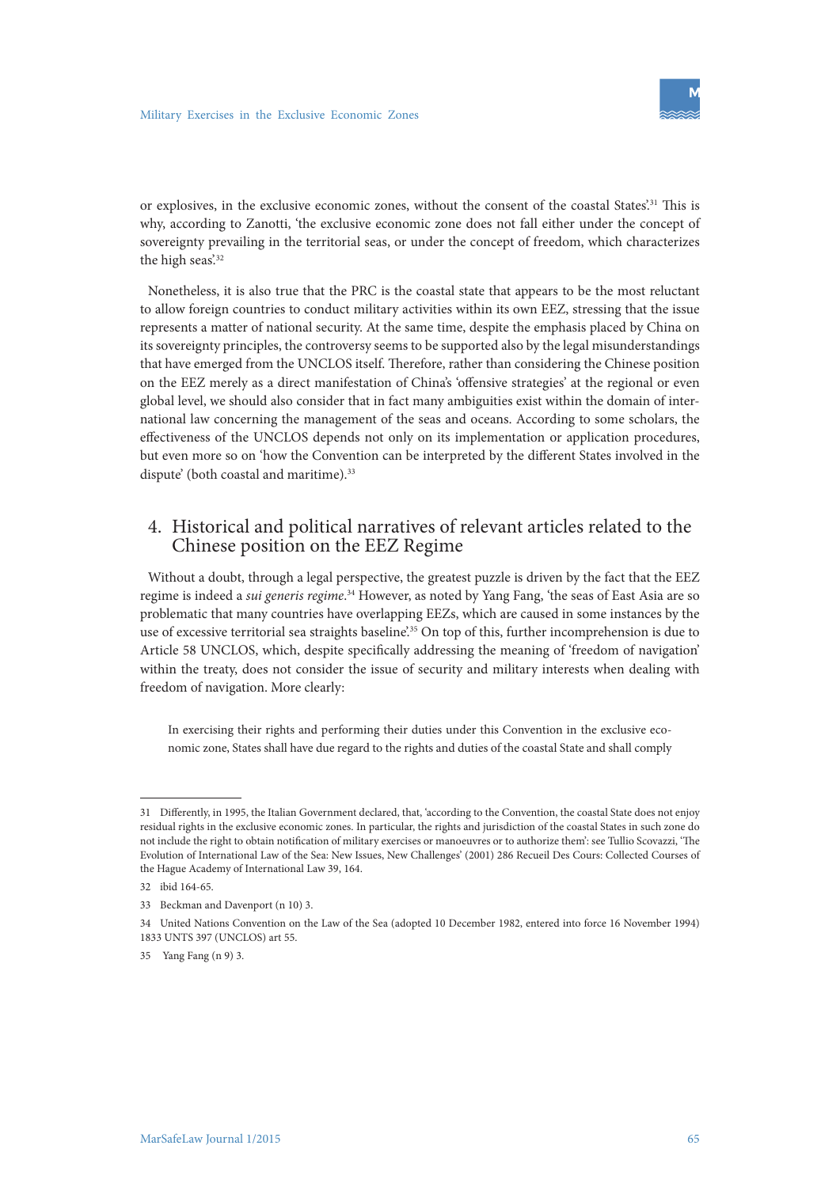or explosives, in the exclusive economic zones, without the consent of the coastal States'.31 This is why, according to Zanotti, 'the exclusive economic zone does not fall either under the concept of sovereignty prevailing in the territorial seas, or under the concept of freedom, which characterizes the high seas'.<sup>32</sup>

Nonetheless, it is also true that the PRC is the coastal state that appears to be the most reluctant to allow foreign countries to conduct military activities within its own EEZ, stressing that the issue represents a matter of national security. At the same time, despite the emphasis placed by China on its sovereignty principles, the controversy seems to be supported also by the legal misunderstandings that have emerged from the UNCLOS itself. Therefore, rather than considering the Chinese position on the EEZ merely as a direct manifestation of China's 'offensive strategies' at the regional or even global level, we should also consider that in fact many ambiguities exist within the domain of international law concerning the management of the seas and oceans. According to some scholars, the effectiveness of the UNCLOS depends not only on its implementation or application procedures, but even more so on 'how the Convention can be interpreted by the different States involved in the dispute' (both coastal and maritime).<sup>33</sup>

# 4. Historical and political narratives of relevant articles related to the Chinese position on the EEZ Regime

Without a doubt, through a legal perspective, the greatest puzzle is driven by the fact that the EEZ regime is indeed a *sui generis regime*. 34 However, as noted by Yang Fang, 'the seas of East Asia are so problematic that many countries have overlapping EEZs, which are caused in some instances by the use of excessive territorial sea straights baseline'.<sup>35</sup> On top of this, further incomprehension is due to Article 58 UNCLOS, which, despite specifically addressing the meaning of 'freedom of navigation' within the treaty, does not consider the issue of security and military interests when dealing with freedom of navigation. More clearly:

In exercising their rights and performing their duties under this Convention in the exclusive economic zone, States shall have due regard to the rights and duties of the coastal State and shall comply

<sup>31</sup> Differently, in 1995, the Italian Government declared, that, 'according to the Convention, the coastal State does not enjoy residual rights in the exclusive economic zones. In particular, the rights and jurisdiction of the coastal States in such zone do not include the right to obtain notification of military exercises or manoeuvres or to authorize them': see Tullio Scovazzi, 'The Evolution of International Law of the Sea: New Issues, New Challenges' (2001) 286 Recueil Des Cours: Collected Courses of the Hague Academy of International Law 39, 164.

<sup>32</sup> ibid 164-65.

<sup>33</sup> Beckman and Davenport (n 10) 3.

<sup>34</sup> United Nations Convention on the Law of the Sea (adopted 10 December 1982, entered into force 16 November 1994) 1833 UNTS 397 (UNCLOS) art 55.

<sup>35</sup> Yang Fang (n 9) 3.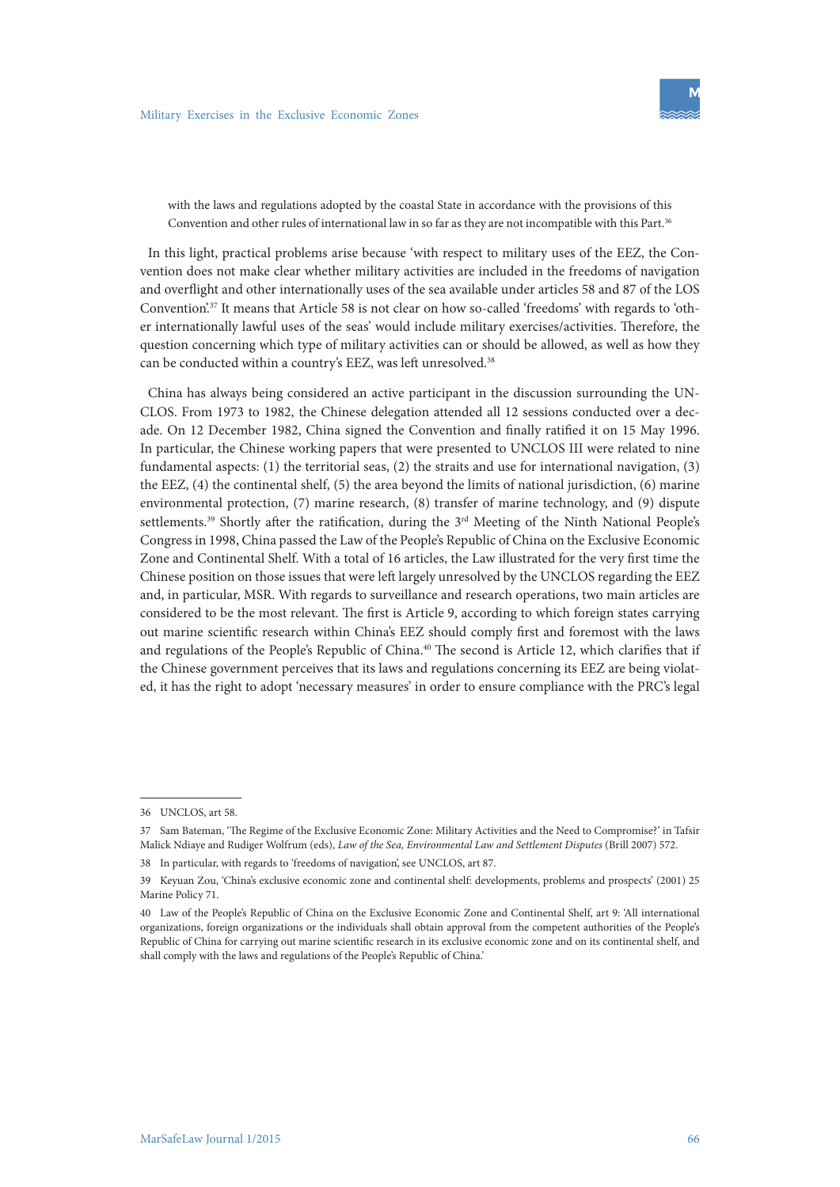with the laws and regulations adopted by the coastal State in accordance with the provisions of this Convention and other rules of international law in so far as they are not incompatible with this Part.<sup>36</sup>

In this light, practical problems arise because 'with respect to military uses of the EEZ, the Convention does not make clear whether military activities are included in the freedoms of navigation and overflight and other internationally uses of the sea available under articles 58 and 87 of the LOS Convention'.37 It means that Article 58 is not clear on how so-called 'freedoms' with regards to 'other internationally lawful uses of the seas' would include military exercises/activities. Therefore, the question concerning which type of military activities can or should be allowed, as well as how they can be conducted within a country's EEZ, was left unresolved.<sup>38</sup>

China has always being considered an active participant in the discussion surrounding the UN-CLOS. From 1973 to 1982, the Chinese delegation attended all 12 sessions conducted over a decade. On 12 December 1982, China signed the Convention and finally ratified it on 15 May 1996. In particular, the Chinese working papers that were presented to UNCLOS III were related to nine fundamental aspects: (1) the territorial seas, (2) the straits and use for international navigation, (3) the EEZ, (4) the continental shelf, (5) the area beyond the limits of national jurisdiction, (6) marine environmental protection, (7) marine research, (8) transfer of marine technology, and (9) dispute settlements.<sup>39</sup> Shortly after the ratification, during the 3<sup>rd</sup> Meeting of the Ninth National People's Congress in 1998, China passed the Law of the People's Republic of China on the Exclusive Economic Zone and Continental Shelf. With a total of 16 articles, the Law illustrated for the very first time the Chinese position on those issues that were left largely unresolved by the UNCLOS regarding the EEZ and, in particular, MSR. With regards to surveillance and research operations, two main articles are considered to be the most relevant. The first is Article 9, according to which foreign states carrying out marine scientific research within China's EEZ should comply first and foremost with the laws and regulations of the People's Republic of China.<sup>40</sup> The second is Article 12, which clarifies that if the Chinese government perceives that its laws and regulations concerning its EEZ are being violated, it has the right to adopt 'necessary measures' in order to ensure compliance with the PRC's legal

<sup>36</sup> UNCLOS, art 58.

<sup>37</sup> Sam Bateman, 'The Regime of the Exclusive Economic Zone: Military Activities and the Need to Compromise?' in Tafsir Malick Ndiaye and Rudiger Wolfrum (eds), *Law of the Sea, Environmental Law and Settlement Disputes* (Brill 2007) 572.

<sup>38</sup> In particular, with regards to 'freedoms of navigation', see UNCLOS, art 87.

<sup>39</sup> Keyuan Zou, 'China's exclusive economic zone and continental shelf: developments, problems and prospects' (2001) 25 Marine Policy 71.

<sup>40</sup> Law of the People's Republic of China on the Exclusive Economic Zone and Continental Shelf, art 9: 'All international organizations, foreign organizations or the individuals shall obtain approval from the competent authorities of the People's Republic of China for carrying out marine scientific research in its exclusive economic zone and on its continental shelf, and shall comply with the laws and regulations of the People's Republic of China.'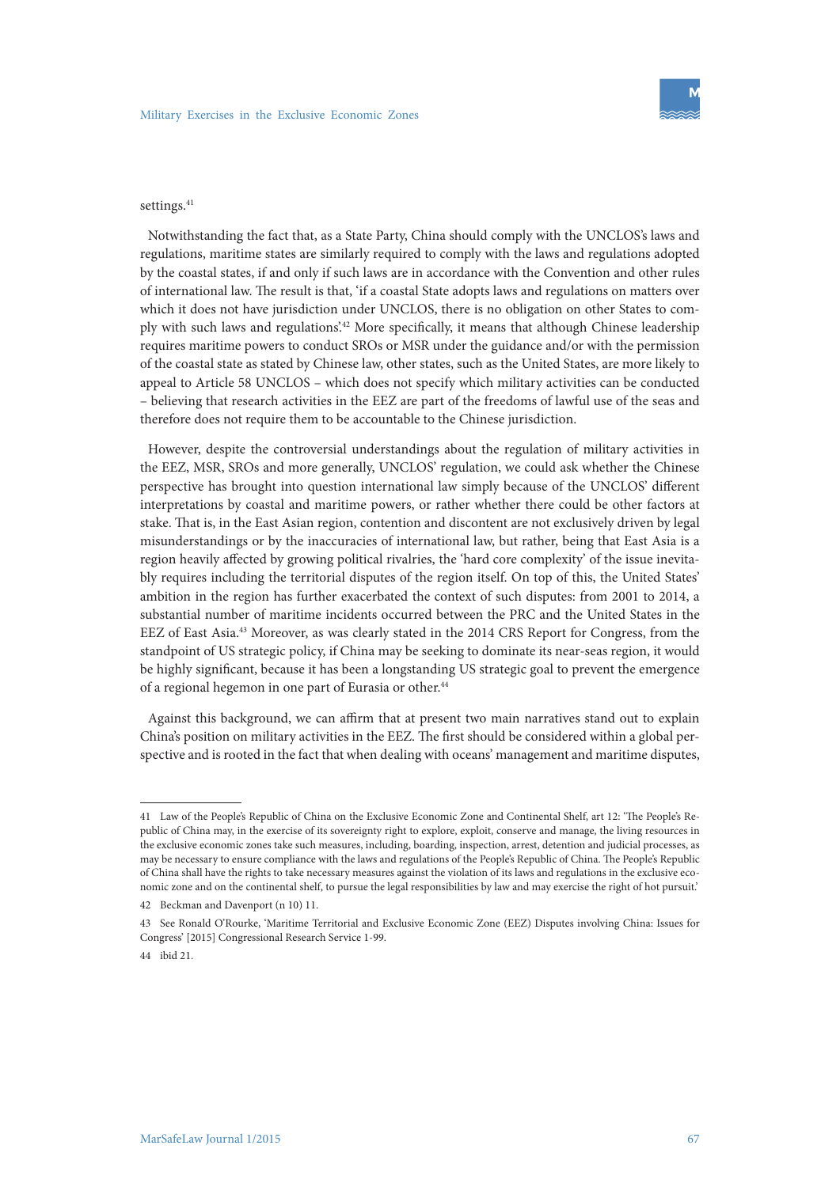#### settings.<sup>41</sup>

Notwithstanding the fact that, as a State Party, China should comply with the UNCLOS's laws and regulations, maritime states are similarly required to comply with the laws and regulations adopted by the coastal states, if and only if such laws are in accordance with the Convention and other rules of international law. The result is that, 'if a coastal State adopts laws and regulations on matters over which it does not have jurisdiction under UNCLOS, there is no obligation on other States to comply with such laws and regulations'.42 More specifically, it means that although Chinese leadership requires maritime powers to conduct SROs or MSR under the guidance and/or with the permission of the coastal state as stated by Chinese law, other states, such as the United States, are more likely to appeal to Article 58 UNCLOS – which does not specify which military activities can be conducted – believing that research activities in the EEZ are part of the freedoms of lawful use of the seas and therefore does not require them to be accountable to the Chinese jurisdiction.

However, despite the controversial understandings about the regulation of military activities in the EEZ, MSR, SROs and more generally, UNCLOS' regulation, we could ask whether the Chinese perspective has brought into question international law simply because of the UNCLOS' different interpretations by coastal and maritime powers, or rather whether there could be other factors at stake. That is, in the East Asian region, contention and discontent are not exclusively driven by legal misunderstandings or by the inaccuracies of international law, but rather, being that East Asia is a region heavily affected by growing political rivalries, the 'hard core complexity' of the issue inevitably requires including the territorial disputes of the region itself. On top of this, the United States' ambition in the region has further exacerbated the context of such disputes: from 2001 to 2014, a substantial number of maritime incidents occurred between the PRC and the United States in the EEZ of East Asia.43 Moreover, as was clearly stated in the 2014 CRS Report for Congress, from the standpoint of US strategic policy, if China may be seeking to dominate its near-seas region, it would be highly significant, because it has been a longstanding US strategic goal to prevent the emergence of a regional hegemon in one part of Eurasia or other.<sup>44</sup>

Against this background, we can affirm that at present two main narratives stand out to explain China's position on military activities in the EEZ. The first should be considered within a global perspective and is rooted in the fact that when dealing with oceans' management and maritime disputes,

<sup>41</sup> Law of the People's Republic of China on the Exclusive Economic Zone and Continental Shelf, art 12: 'The People's Republic of China may, in the exercise of its sovereignty right to explore, exploit, conserve and manage, the living resources in the exclusive economic zones take such measures, including, boarding, inspection, arrest, detention and judicial processes, as may be necessary to ensure compliance with the laws and regulations of the People's Republic of China. The People's Republic of China shall have the rights to take necessary measures against the violation of its laws and regulations in the exclusive economic zone and on the continental shelf, to pursue the legal responsibilities by law and may exercise the right of hot pursuit.'

<sup>42</sup> Beckman and Davenport (n 10) 11.

<sup>43</sup> See Ronald O'Rourke, 'Maritime Territorial and Exclusive Economic Zone (EEZ) Disputes involving China: Issues for Congress' [2015] Congressional Research Service 1-99.

<sup>44</sup> ibid 21.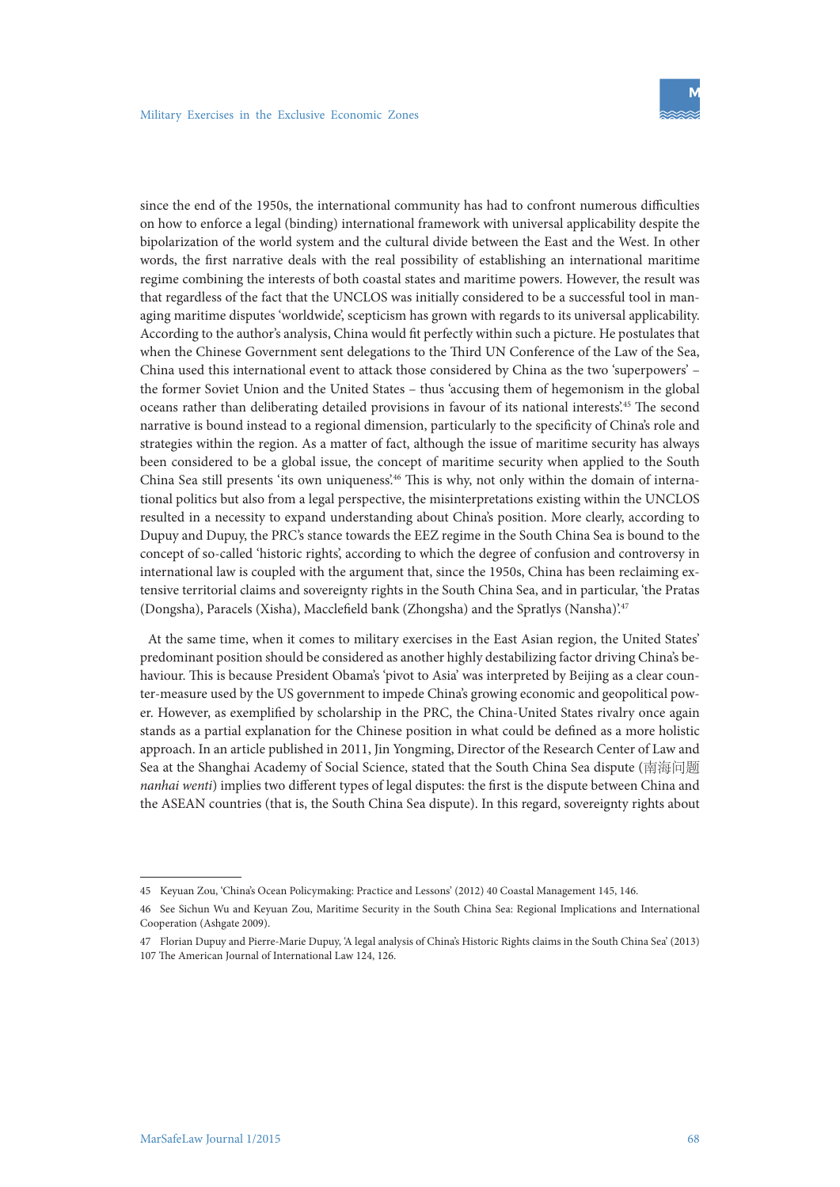since the end of the 1950s, the international community has had to confront numerous difficulties on how to enforce a legal (binding) international framework with universal applicability despite the bipolarization of the world system and the cultural divide between the East and the West. In other words, the first narrative deals with the real possibility of establishing an international maritime regime combining the interests of both coastal states and maritime powers. However, the result was that regardless of the fact that the UNCLOS was initially considered to be a successful tool in managing maritime disputes 'worldwide', scepticism has grown with regards to its universal applicability. According to the author's analysis, China would fit perfectly within such a picture. He postulates that when the Chinese Government sent delegations to the Third UN Conference of the Law of the Sea, China used this international event to attack those considered by China as the two 'superpowers' – the former Soviet Union and the United States – thus 'accusing them of hegemonism in the global oceans rather than deliberating detailed provisions in favour of its national interests'.45 The second narrative is bound instead to a regional dimension, particularly to the specificity of China's role and strategies within the region. As a matter of fact, although the issue of maritime security has always been considered to be a global issue, the concept of maritime security when applied to the South China Sea still presents 'its own uniqueness'.46 This is why, not only within the domain of international politics but also from a legal perspective, the misinterpretations existing within the UNCLOS resulted in a necessity to expand understanding about China's position. More clearly, according to Dupuy and Dupuy, the PRC's stance towards the EEZ regime in the South China Sea is bound to the concept of so-called 'historic rights', according to which the degree of confusion and controversy in international law is coupled with the argument that, since the 1950s, China has been reclaiming extensive territorial claims and sovereignty rights in the South China Sea, and in particular, 'the Pratas (Dongsha), Paracels (Xisha), Macclefield bank (Zhongsha) and the Spratlys (Nansha)'.47

At the same time, when it comes to military exercises in the East Asian region, the United States' predominant position should be considered as another highly destabilizing factor driving China's behaviour. This is because President Obama's 'pivot to Asia' was interpreted by Beijing as a clear counter-measure used by the US government to impede China's growing economic and geopolitical power. However, as exemplified by scholarship in the PRC, the China-United States rivalry once again stands as a partial explanation for the Chinese position in what could be defined as a more holistic approach. In an article published in 2011, Jin Yongming, Director of the Research Center of Law and Sea at the Shanghai Academy of Social Science, stated that the South China Sea dispute (南海问题 *nanhai wenti*) implies two different types of legal disputes: the first is the dispute between China and the ASEAN countries (that is, the South China Sea dispute). In this regard, sovereignty rights about

<sup>45</sup> Keyuan Zou, 'China's Ocean Policymaking: Practice and Lessons' (2012) 40 Coastal Management 145, 146.

<sup>46</sup> See Sichun Wu and Keyuan Zou, Maritime Security in the South China Sea: Regional Implications and International Cooperation (Ashgate 2009).

<sup>47</sup> Florian Dupuy and Pierre-Marie Dupuy, 'A legal analysis of China's Historic Rights claims in the South China Sea' (2013) 107 The American Journal of International Law 124, 126.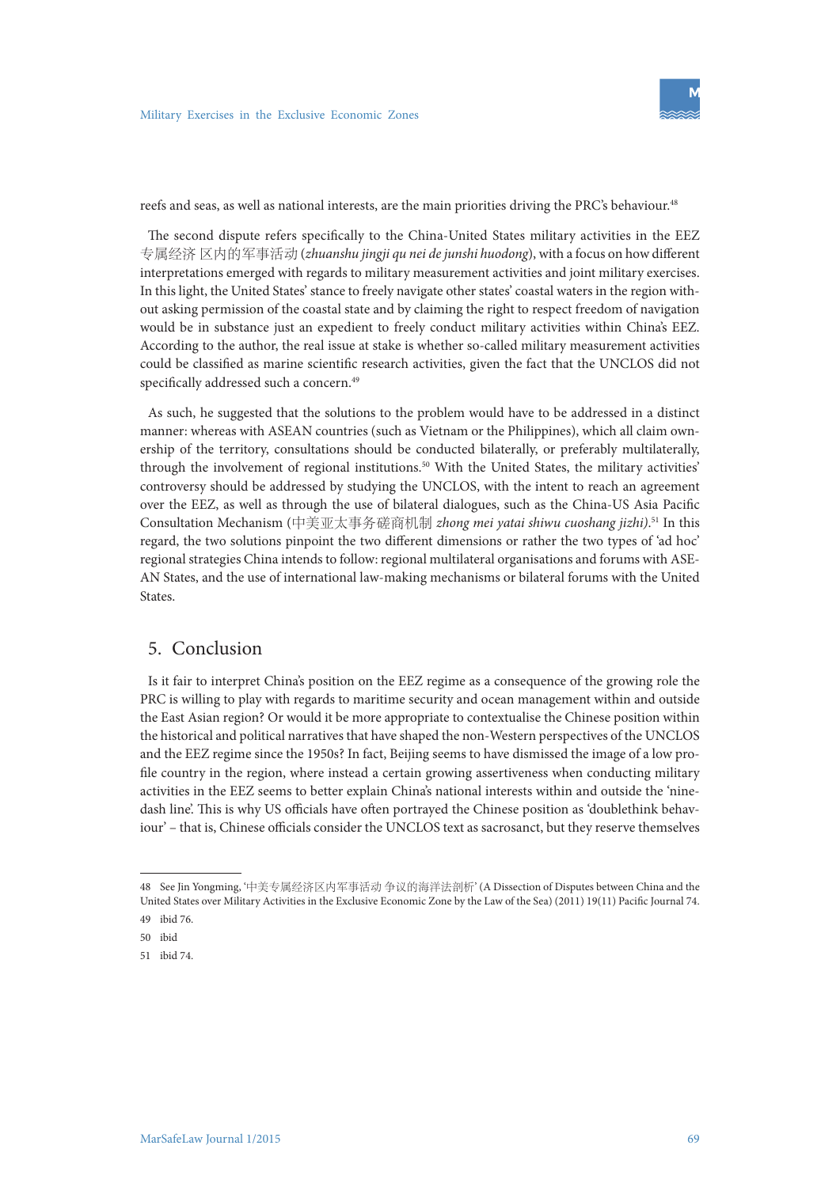

reefs and seas, as well as national interests, are the main priorities driving the PRC's behaviour.<sup>48</sup>

The second dispute refers specifically to the China-United States military activities in the EEZ 专属经济 区内的军事活动 (*zhuanshu jingji qu nei de junshi huodong*), with a focus on how different interpretations emerged with regards to military measurement activities and joint military exercises. In this light, the United States' stance to freely navigate other states' coastal waters in the region without asking permission of the coastal state and by claiming the right to respect freedom of navigation would be in substance just an expedient to freely conduct military activities within China's EEZ. According to the author, the real issue at stake is whether so-called military measurement activities could be classified as marine scientific research activities, given the fact that the UNCLOS did not specifically addressed such a concern.<sup>49</sup>

As such, he suggested that the solutions to the problem would have to be addressed in a distinct manner: whereas with ASEAN countries (such as Vietnam or the Philippines), which all claim ownership of the territory, consultations should be conducted bilaterally, or preferably multilaterally, through the involvement of regional institutions.<sup>50</sup> With the United States, the military activities' controversy should be addressed by studying the UNCLOS, with the intent to reach an agreement over the EEZ, as well as through the use of bilateral dialogues, such as the China-US Asia Pacific Consultation Mechanism (中美亚太事务磋商机制 *zhong mei yatai shiwu cuoshang jizhi)*. 51 In this regard, the two solutions pinpoint the two different dimensions or rather the two types of 'ad hoc' regional strategies China intends to follow: regional multilateral organisations and forums with ASE-AN States, and the use of international law-making mechanisms or bilateral forums with the United States.

## 5. Conclusion

Is it fair to interpret China's position on the EEZ regime as a consequence of the growing role the PRC is willing to play with regards to maritime security and ocean management within and outside the East Asian region? Or would it be more appropriate to contextualise the Chinese position within the historical and political narratives that have shaped the non-Western perspectives of the UNCLOS and the EEZ regime since the 1950s? In fact, Beijing seems to have dismissed the image of a low profile country in the region, where instead a certain growing assertiveness when conducting military activities in the EEZ seems to better explain China's national interests within and outside the 'ninedash line'. This is why US officials have often portrayed the Chinese position as 'doublethink behaviour' – that is, Chinese officials consider the UNCLOS text as sacrosanct, but they reserve themselves

<sup>48</sup> See Jin Yongming, '中美专属经济区内军事活动 争议的海洋法剖析' (A Dissection of Disputes between China and the United States over Military Activities in the Exclusive Economic Zone by the Law of the Sea) (2011) 19(11) Pacific Journal 74.

<sup>49</sup> ibid 76.

<sup>50</sup> ibid

<sup>51</sup> ibid 74.